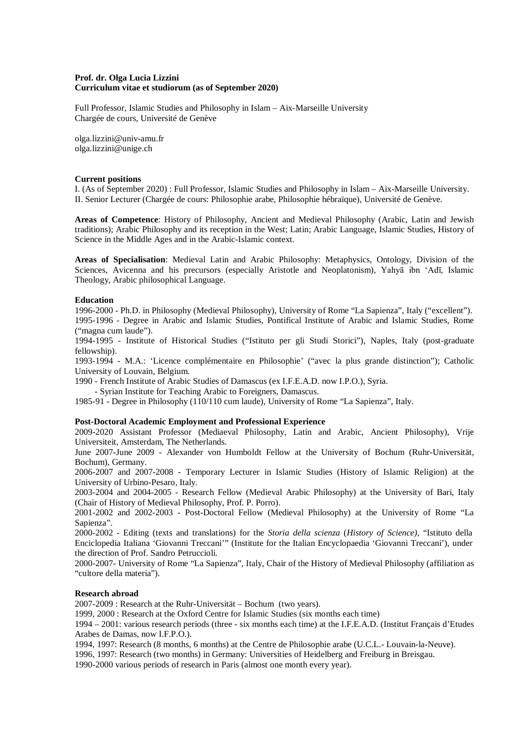# **Prof. dr. Olga Lucia Lizzini Curriculum vitae et studiorum (as of September 2020)**

Full Professor, Islamic Studies and Philosophy in Islam – Aix-Marseille University Chargée de cours, Université de Genève

olga.lizzini@univ-amu.fr [olga.lizzini@unige.ch](mailto:olga.lizzini@unige.ch)

#### **Current positions**

I. (As of September 2020) : Full Professor, Islamic Studies and Philosophy in Islam – Aix-Marseille University. II. Senior Lecturer (Chargée de cours: Philosophie arabe, Philosophie hébraïque), Université de Genève.

**Areas of Competence**: History of Philosophy, Ancient and Medieval Philosophy (Arabic, Latin and Jewish traditions); Arabic Philosophy and its reception in the West; Latin; Arabic Language, Islamic Studies, History of Science in the Middle Ages and in the Arabic-Islamic context.

**Areas of Specialisation**: Medieval Latin and Arabic Philosophy: Metaphysics, Ontology, Division of the Sciences, Avicenna and his precursors (especially Aristotle and Neoplatonism), Yahyā ibn 'Adī, Islamic Theology, Arabic philosophical Language.

## **Education**

1996-2000 - Ph.D. in Philosophy (Medieval Philosophy), University of Rome "La Sapienza", Italy ("excellent"). 1995-1996 - Degree in Arabic and Islamic Studies, Pontifical Institute of Arabic and Islamic Studies, Rome ("magna cum laude").

1994-1995 - Institute of Historical Studies ("Istituto per gli Studi Storici"), Naples, Italy (post-graduate fellowship).

1993-1994 - M.A.: 'Licence complémentaire en Philosophie' ("avec la plus grande distinction"); Catholic University of Louvain, Belgium.

1990 - French Institute of Arabic Studies of Damascus (ex I.F.E.A.D. now I.P.O.), Syria.

- Syrian Institute for Teaching Arabic to Foreigners, Damascus.

1985-91 - Degree in Philosophy (110/110 cum laude), University of Rome "La Sapienza", Italy.

## **Post-Doctoral Academic Employment and Professional Experience**

2009-2020 Assistant Professor (Mediaeval Philosophy, Latin and Arabic, Ancient Philosophy), Vrije Universiteit, Amsterdam, The Netherlands.

June 2007-June 2009 - Alexander von Humboldt Fellow at the University of Bochum (Ruhr-Universität, Bochum), Germany.

2006-2007 and 2007-2008 - Temporary Lecturer in Islamic Studies (History of Islamic Religion) at the University of Urbino-Pesaro, Italy.

2003-2004 and 2004-2005 - Research Fellow (Medieval Arabic Philosophy) at the University of Bari, Italy (Chair of History of Medieval Philosophy, Prof. P. Porro).

2001-2002 and 2002-2003 - Post-Doctoral Fellow (Medieval Philosophy) at the University of Rome "La Sapienza".

2000-2002 - Editing (texts and translations) for the *Storia della scienza* (*History of Science)*, "Istituto della Enciclopedia Italiana 'Giovanni Treccani'" (Institute for the Italian Encyclopaedia 'Giovanni Treccani'), under the direction of Prof. Sandro Petruccioli.

2000-2007- University of Rome "La Sapienza", Italy, Chair of the History of Medieval Philosophy (affiliation as "cultore della materia").

## **Research abroad**

2007-2009 : Research at the Ruhr-Universität – Bochum (two years).

1999, 2000 : Research at the Oxford Centre for Islamic Studies (six months each time)

1994 – 2001: various research periods (three - six months each time) at the I.F.E.A.D. (Institut Français d'Etudes Arabes de Damas, now I.F.P.O.).

1994, 1997: Research (8 months, 6 months) at the Centre de Philosophie arabe (U.C.L.- Louvain-la-Neuve).

1996, 1997: Research (two months) in Germany: Universities of Heidelberg and Freiburg in Breisgau.

1990-2000 various periods of research in Paris (almost one month every year).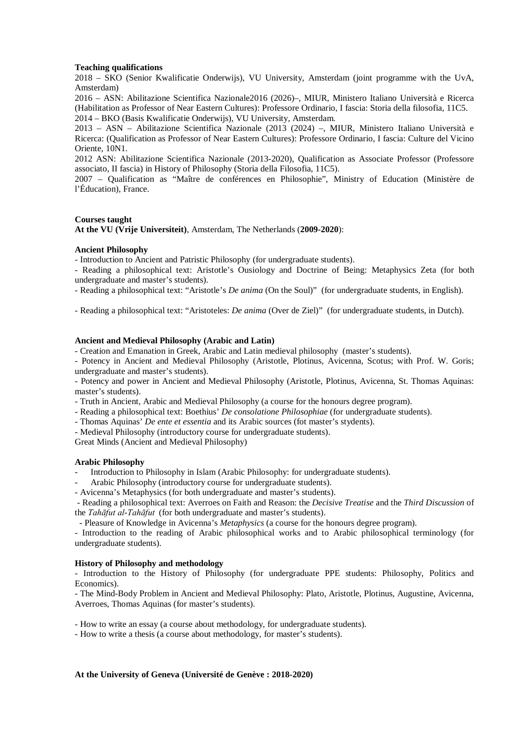# **Teaching qualifications**

2018 – SKO (Senior Kwalificatie Onderwijs), VU University, Amsterdam (joint programme with the UvA, Amsterdam)

2016 – ASN: Abilitazione Scientifica Nazionale2016 (2026)–, MIUR, Ministero Italiano Università e Ricerca (Habilitation as Professor of Near Eastern Cultures): Professore Ordinario, I fascia: Storia della filosofia, 11C5. 2014 – BKO (Basis Kwalificatie Onderwijs), VU University, Amsterdam.

2013 – ASN – Abilitazione Scientifica Nazionale (2013 (2024) –, MIUR, Ministero Italiano Università e Ricerca: (Qualification as Professor of Near Eastern Cultures): Professore Ordinario, I fascia: Culture del Vicino Oriente, 10N1.

2012 ASN: Abilitazione Scientifica Nazionale (2013-2020), Qualification as Associate Professor (Professore associato, II fascia) in History of Philosophy (Storia della Filosofia, 11C5).

2007 – Qualification as "Maître de conférences en Philosophie", Ministry of Education (Ministère de l'Éducation), France.

# **Courses taught**

**At the VU (Vrije Universiteit)**, Amsterdam, The Netherlands (**2009-2020**):

# **Ancient Philosophy**

- Introduction to Ancient and Patristic Philosophy (for undergraduate students).

- Reading a philosophical text: Aristotle's Ousiology and Doctrine of Being: Metaphysics Zeta (for both undergraduate and master's students).

- Reading a philosophical text: "Aristotle's *De anima* (On the Soul)" (for undergraduate students, in English).

- Reading a philosophical text: "Aristoteles: *De anima* (Over de Ziel)" (for undergraduate students, in Dutch).

# **Ancient and Medieval Philosophy (Arabic and Latin)**

- Creation and Emanation in Greek, Arabic and Latin medieval philosophy (master's students).

- Potency in Ancient and Medieval Philosophy (Aristotle, Plotinus, Avicenna, Scotus; with Prof. W. Goris; undergraduate and master's students).

- Potency and power in Ancient and Medieval Philosophy (Aristotle, Plotinus, Avicenna, St. Thomas Aquinas: master's students).

- Truth in Ancient, Arabic and Medieval Philosophy (a course for the honours degree program).

- Reading a philosophical text: Boethius' *De consolatione Philosophiae* (for undergraduate students).

- Thomas Aquinas' *De ente et essentia* and its Arabic sources (fot master's stydents).

- Medieval Philosophy (introductory course for undergraduate students).

Great Minds (Ancient and Medieval Philosophy)

## **Arabic Philosophy**

Introduction to Philosophy in Islam (Arabic Philosophy: for undergraduate students).

Arabic Philosophy (introductory course for undergraduate students).

- Avicenna's Metaphysics (for both undergraduate and master's students).

- Reading a philosophical text: Averroes on Faith and Reason: the *Decisive Treatise* and the *Third Discussion* of the *Tahāfut al-Tahāfut* (for both undergraduate and master's students).

- Pleasure of Knowledge in Avicenna's *Metaphysics* (a course for the honours degree program).

- Introduction to the reading of Arabic philosophical works and to Arabic philosophical terminology (for undergraduate students).

# **History of Philosophy and methodology**

- Introduction to the History of Philosophy (for undergraduate PPE students: Philosophy, Politics and Economics).

- The Mind-Body Problem in Ancient and Medieval Philosophy: Plato, Aristotle, Plotinus, Augustine, Avicenna, Averroes, Thomas Aquinas (for master's students).

- How to write an essay (a course about methodology, for undergraduate students).

- How to write a thesis (a course about methodology, for master's students).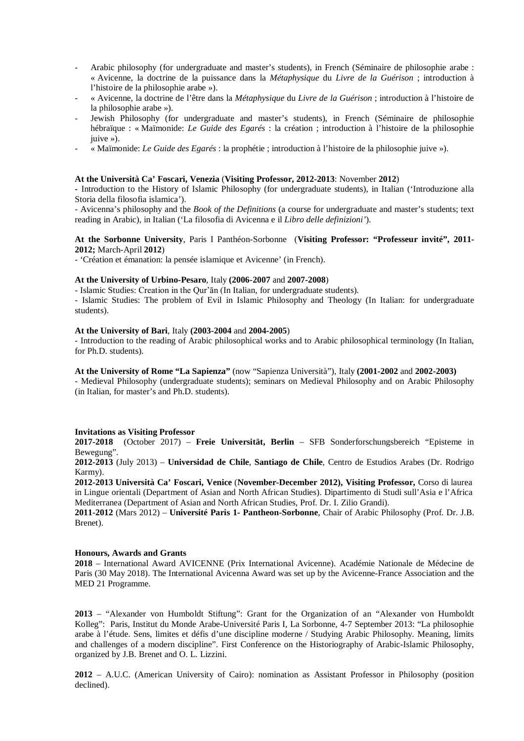- Arabic philosophy (for undergraduate and master's students), in French (Séminaire de philosophie arabe : « Avicenne, la doctrine de la puissance dans la *Métaphysique* du *Livre de la Guérison* ; introduction à l'histoire de la philosophie arabe »).
- « Avicenne, la doctrine de l'être dans la *Métaphysique* du *Livre de la Guérison* ; introduction à l'histoire de la philosophie arabe »).
- Jewish Philosophy (for undergraduate and master's students), in French (Séminaire de philosophie hébraïque : « Maïmonide: *Le Guide des Egarés* : la création ; introduction à l'histoire de la philosophie juive »).
- « Maïmonide: *Le Guide des Egarés* : la prophétie ; introduction à l'histoire de la philosophie juive »).

#### **At the Università Ca' Foscari, Venezia** (**Visiting Professor, 2012-2013**: November **2012**)

**-** Introduction to the History of Islamic Philosophy (for undergraduate students), in Italian ('Introduzione alla Storia della filosofia islamica').

- Avicenna's philosophy and the *Book of the Definitions* (a course for undergraduate and master's students; text reading in Arabic), in Italian ('La filosofia di Avicenna e il *Libro delle definizioni'*).

# **At the Sorbonne University**, Paris I Panthéon-Sorbonne (**Visiting Professor: "Professeur invité", 2011- 2012;** March-April **2012**)

- 'Création et émanation: la pensée islamique et Avicenne' (in French).

# **At the University of Urbino-Pesaro**, Italy **(2006-2007** and **2007-2008**)

- Islamic Studies: Creation in the Qur'ān (In Italian, for undergraduate students).

- Islamic Studies: The problem of Evil in Islamic Philosophy and Theology (In Italian: for undergraduate students).

#### **At the University of Bari**, Italy **(2003-2004** and **2004-2005**)

- Introduction to the reading of Arabic philosophical works and to Arabic philosophical terminology (In Italian, for Ph.D. students).

**At the University of Rome "La Sapienza"** (now "Sapienza Università"), Italy **(2001-2002** and **2002-2003)** - Medieval Philosophy (undergraduate students); seminars on Medieval Philosophy and on Arabic Philosophy (in Italian, for master's and Ph.D. students).

## **Invitations as Visiting Professor**

**2017-2018** (October 2017) – **Freie Universität, Berlin** – SFB Sonderforschungsbereich "Episteme in Bewegung".

**2012-2013** (July 2013) – **Universidad de Chile**, **Santiago de Chile**, Centro de Estudios Arabes (Dr. Rodrigo Karmy).

**2012-2013 Università Ca' Foscari, Venice** (**November-December 2012), Visiting Professor,** Corso di laurea in Lingue orientali (Department of Asian and North African Studies). Dipartimento di Studi sull'Asia e l'Africa Mediterranea (Department of Asian and North African Studies, Prof. Dr. I. Zilio Grandi).

**2011-2012** (Mars 2012) – **Université Paris 1- Pantheon-Sorbonne**, Chair of Arabic Philosophy (Prof. Dr. J.B. Brenet).

## **Honours, Awards and Grants**

**2018** – International Award AVICENNE (Prix International Avicenne). Académie Nationale de Médecine de Paris (30 May 2018). The International Avicenna Award was set up by the Avicenne-France Association and the MED 21 Programme.

**2013** – "Alexander von Humboldt Stiftung": Grant for the Organization of an "Alexander von Humboldt Kolleg": Paris, Institut du Monde Arabe-Université Paris I, La Sorbonne, 4-7 September 2013: "La philosophie arabe à l'étude. Sens, limites et défis d'une discipline moderne / Studying Arabic Philosophy. Meaning, limits and challenges of a modern discipline". First Conference on the Historiography of Arabic-Islamic Philosophy, organized by J.B. Brenet and O. L. Lizzini.

**2012** – A.U.C. (American University of Cairo): nomination as Assistant Professor in Philosophy (position declined).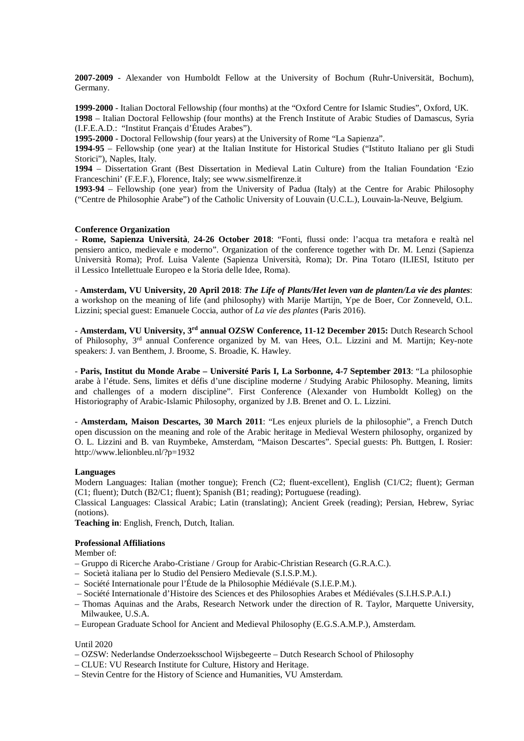**2007-2009** - Alexander von Humboldt Fellow at the University of Bochum (Ruhr-Universität, Bochum), Germany.

**1999-2000** - Italian Doctoral Fellowship (four months) at the "Oxford Centre for Islamic Studies", Oxford, UK. **1998** – Italian Doctoral Fellowship (four months) at the French Institute of Arabic Studies of Damascus, Syria (I.F.E.A.D.: "Institut Français d'Études Arabes").

**1995-2000** - Doctoral Fellowship (four years) at the University of Rome "La Sapienza".

**1994-95** – Fellowship (one year) at the Italian Institute for Historical Studies ("Istituto Italiano per gli Studi Storici"), Naples, Italy.

**1994** – Dissertation Grant (Best Dissertation in Medieval Latin Culture) from the Italian Foundation 'Ezio Franceschini' (F.E.F.), Florence, Italy; see [www.sismelfirenze.it](http://www.sismelfirenze.it/)

**1993-94** – Fellowship (one year) from the University of Padua (Italy) at the Centre for Arabic Philosophy ("Centre de Philosophie Arabe") of the Catholic University of Louvain (U.C.L.), Louvain-la-Neuve, Belgium.

#### **Conference Organization**

- **Rome, Sapienza Università**, **24-26 October 2018**: "Fonti, flussi onde: l'acqua tra metafora e realtà nel pensiero antico, medievale e moderno". Organization of the conference together with Dr. M. Lenzi (Sapienza Università Roma); Prof. Luisa Valente (Sapienza Università, Roma); Dr. Pina Totaro (ILIESI, Istituto per il [Lessico Intellettuale Europeo e la Storia delle Idee,](http://www.iliesi.cnr.it/materiali/Gregory_Lessico_intellettuale_europeo.pdf) Roma).

- **Amsterdam, VU University, 20 April 2018**: *The Life of Plants/Het leven van de planten/La vie des plantes*: a workshop on the meaning of life (and philosophy) with Marije Martijn, Ype de Boer, Cor Zonneveld, O.L. Lizzini; special guest: Emanuele Coccia, author of *La vie des plantes* (Paris 2016).

- **Amsterdam, VU University, 3rd annual OZSW Conference, 11-12 December 2015:** Dutch Research School of Philosophy, 3rd annual Conference organized by M. van Hees, O.L. Lizzini and M. Martijn; Key-note speakers: J. van Benthem, J. Broome, S. Broadie, K. Hawley.

- **Paris, Institut du Monde Arabe – Université Paris I, La Sorbonne, 4-7 September 2013**: "La philosophie arabe à l'étude. Sens, limites et défis d'une discipline moderne / Studying Arabic Philosophy. Meaning, limits and challenges of a modern discipline". First Conference (Alexander von Humboldt Kolleg) on the Historiography of Arabic-Islamic Philosophy, organized by J.B. Brenet and O. L. Lizzini.

- **Amsterdam, Maison Descartes, 30 March 2011**: "Les enjeux pluriels de la philosophie", a French Dutch open discussion on the meaning and role of the Arabic heritage in Medieval Western philosophy, organized by O. L. Lizzini and B. van Ruymbeke, Amsterdam, "Maison Descartes". Special guests: Ph. Buttgen, I. Rosier: <http://www.lelionbleu.nl/?p=1932>

#### **Languages**

Modern Languages: Italian (mother tongue); French (C2; fluent-excellent), English (C1/C2; fluent); German (C1; fluent); Dutch (B2/C1; fluent); Spanish (B1; reading); Portuguese (reading).

Classical Languages: Classical Arabic; Latin (translating); Ancient Greek (reading); Persian, Hebrew, Syriac (notions).

**Teaching in**: English, French, Dutch, Italian.

# **Professional Affiliations**

Member of:

- Gruppo di Ricerche Arabo-Cristiane / Group for Arabic-Christian Research (G.R.A.C.).
- Società italiana per lo Studio del Pensiero Medievale (S.I.S.P.M.).
- Société Internationale pour l'Étude de la Philosophie Médiévale (S.I.E.P.M.).
- Société Internationale d'Histoire des Sciences et des Philosophies Arabes et Médiévales (S.I.H.S.P.A.I.)
- Thomas Aquinas and the Arabs, Research Network under the direction of R. Taylor, Marquette University, Milwaukee, U.S.A.
- European Graduate School for Ancient and Medieval Philosophy (E.G.S.A.M.P.), Amsterdam.

#### Until 2020

- OZSW: Nederlandse Onderzoeksschool Wijsbegeerte Dutch Research School of Philosophy
- CLUE: VU Research Institute for Culture, History and Heritage.
- Stevin Centre for the History of Science and Humanities, VU Amsterdam.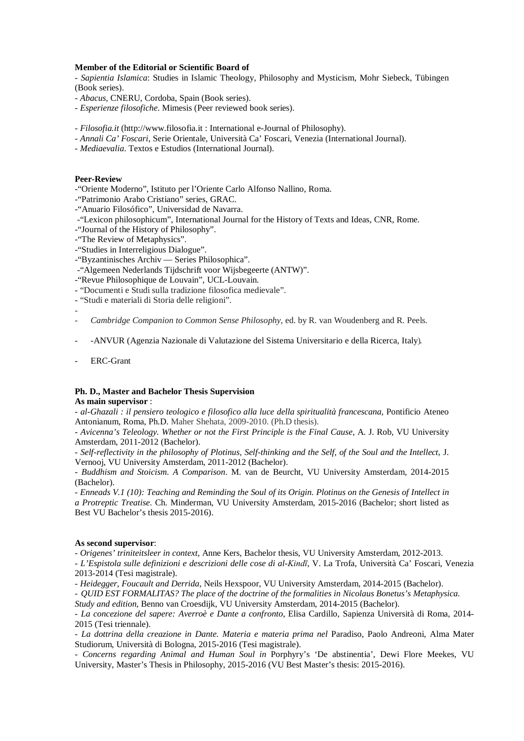# **Member of the Editorial or Scientific Board of**

- *Sapientia Islamica*: Studies in Islamic Theology, Philosophy and Mysticism, Mohr Siebeck, Tübingen (Book series).

- *Abacus*, CNERU, Cordoba, Spain (Book series).
- *Esperienze filosofiche*. Mimesis (Peer reviewed book series).
- *Filosofia.it* [\(http://www.filosofia.it](http://www.filosofia.it/) : International e-Journal of Philosophy).
- *Annali Ca' Foscari*, Serie Orientale, Università Ca' Foscari, Venezia (International Journal).
- *Mediaevalia*. Textos e Estudios (International Journal).

# **Peer-Review**

-"Oriente Moderno", Istituto per l'Oriente Carlo Alfonso Nallino, Roma.

- -"Patrimonio Arabo Cristiano" series, GRAC.
- -"Anuario Filosófico", Universidad de Navarra.
- -"Lexicon philosophicum", International Journal for the History of Texts and Ideas, CNR, Rome.
- -"Journal of the History of Philosophy".
- -"The Review of Metaphysics".
- -"Studies in Interreligious Dialogue".
- -"Byzantinisches Archiv Series Philosophica".
- -"Algemeen Nederlands Tijdschrift voor Wijsbegeerte (ANTW)".
- -"Revue Philosophique de Louvain", UCL-Louvain.
- "Documenti e Studi sulla tradizione filosofica medievale".
- "Studi e materiali di Storia delle religioni".
- -
- *Cambridge Companion to Common Sense Philosophy*, ed. by R. van Woudenberg and R. Peels.
- -ANVUR (Agenzia Nazionale di Valutazione del Sistema Universitario e della Ricerca, Italy).
- ERC-Grant

# **Ph. D., Master and Bachelor Thesis Supervision**

# **As main supervisor** :

- *al-Ghazali : il pensiero teologico e filosofico alla luce della spiritualità francescana*, Pontificio Ateneo Antonianum, Roma, Ph.D. Maher Shehata, 2009-2010. (Ph.D thesis).

- *Avicenna's Teleology. Whether or not the First Principle is the Final Cause*, A. J. Rob, VU University Amsterdam, 2011-2012 (Bachelor).

- *Self-reflectivity in the philosophy of Plotinus, Self-thinking and the Self, of the Soul and the Intellect***,** J. Vernooj, VU University Amsterdam, 2011-2012 (Bachelor).

- *Buddhism and Stoicism. A Comparison*. M. van de Beurcht, VU University Amsterdam, 2014-2015 (Bachelor).

- *Enneads V.1 (10): Teaching and Reminding the Soul of its Origin. Plotinus on the Genesis of Intellect in a Protreptic Treatise*. Ch. Minderman, VU University Amsterdam, 2015-2016 (Bachelor; short listed as Best VU Bachelor's thesis 2015-2016).

# **As second supervisor**:

- *Origenes' triniteitsleer in context*, Anne Kers, Bachelor thesis, VU University Amsterdam, 2012-2013.

- *L'Espistola sulle definizioni e descrizioni delle cose di al-Kindī*, V. La Trofa, Università Ca' Foscari, Venezia 2013-2014 (Tesi magistrale).

- *Heidegger, Foucault and Derrida*, Neils Hexspoor, VU University Amsterdam, 2014-2015 (Bachelor).

- *QUID EST FORMALITAS? The place of the doctrine of the formalities in Nicolaus Bonetus's Metaphysica. Study and edition*, Benno van Croesdijk, VU University Amsterdam, 2014-2015 (Bachelor).

- *La concezione del sapere: Averroè e Dante a confronto*, Elisa Cardillo, Sapienza Università di Roma, 2014- 2015 (Tesi triennale).

- *La dottrina della creazione in Dante. Materia e materia prima nel* Paradiso, Paolo Andreoni, Alma Mater Studiorum, Università di Bologna, 2015-2016 (Tesi magistrale).

- *Concerns regarding Animal and Human Soul in* Porphyry's 'De abstinentia', Dewi Flore Meekes, VU University, Master's Thesis in Philosophy, 2015-2016 (VU Best Master's thesis: 2015-2016).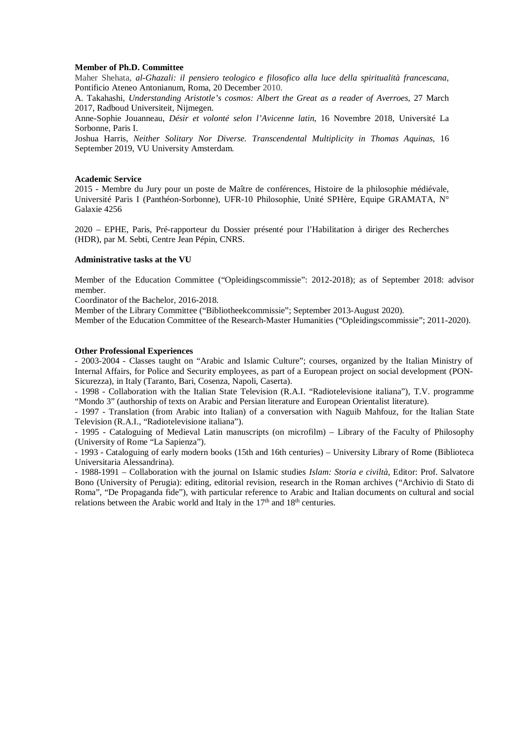## **Member of Ph.D. Committee**

Maher Shehata, *al-Ghazali: il pensiero teologico e filosofico alla luce della spiritualità francescana*, Pontificio Ateneo Antonianum, Roma, 20 December 2010.

A. Takahashi, *Understanding Aristotle's cosmos: Albert the Great as a reader of Averroes*, 27 March 2017, Radboud Universiteit, Nijmegen.

Anne-Sophie Jouanneau, *Désir et volonté selon l'Avicenne latin*, 16 Novembre 2018, Université La Sorbonne, Paris I.

Joshua Harris, *Neither Solitary Nor Diverse. Transcendental Multiplicity in Thomas Aquinas*, 16 September 2019, VU University Amsterdam.

#### **Academic Service**

2015 - Membre du Jury pour un poste de Maître de conférences, Histoire de la philosophie médiévale, Université Paris I (Panthéon-Sorbonne), UFR-10 Philosophie, Unité SPHère, Equipe GRAMATA, N° Galaxie 4256

2020 – EPHE, Paris, Pré-rapporteur du Dossier présenté pour l'Habilitation à diriger des Recherches (HDR), par M. Sebti, Centre Jean Pépin, CNRS.

## **Administrative tasks at the VU**

Member of the Education Committee ("Opleidingscommissie": 2012-2018); as of September 2018: advisor member.

Coordinator of the Bachelor, 2016-2018.

Member of the Library Committee ("Bibliotheekcommissie"; September 2013-August 2020).

Member of the Education Committee of the Research-Master Humanities ("Opleidingscommissie"; 2011-2020).

## **Other Professional Experiences**

- 2003-2004 - Classes taught on "Arabic and Islamic Culture"; courses, organized by the Italian Ministry of Internal Affairs, for Police and Security employees, as part of a European project on social development (PON-Sicurezza), in Italy (Taranto, Bari, Cosenza, Napoli, Caserta).

- 1998 - Collaboration with the Italian State Television (R.A.I. "Radiotelevisione italiana"), T.V. programme "Mondo 3" (authorship of texts on Arabic and Persian literature and European Orientalist literature).

- 1997 - Translation (from Arabic into Italian) of a conversation with Naguib Mahfouz, for the Italian State Television (R.A.I., "Radiotelevisione italiana").

- 1995 - Cataloguing of Medieval Latin manuscripts (on microfilm) – Library of the Faculty of Philosophy (University of Rome "La Sapienza").

- 1993 - Cataloguing of early modern books (15th and 16th centuries) – University Library of Rome (Biblioteca Universitaria Alessandrina).

- 1988-1991 – Collaboration with the journal on Islamic studies *Islam: Storia e civiltà*, Editor: Prof. Salvatore Bono (University of Perugia): editing, editorial revision, research in the Roman archives ("Archivio di Stato di Roma", "De Propaganda fide"), with particular reference to Arabic and Italian documents on cultural and social relations between the Arabic world and Italy in the  $17<sup>th</sup>$  and  $18<sup>th</sup>$  centuries.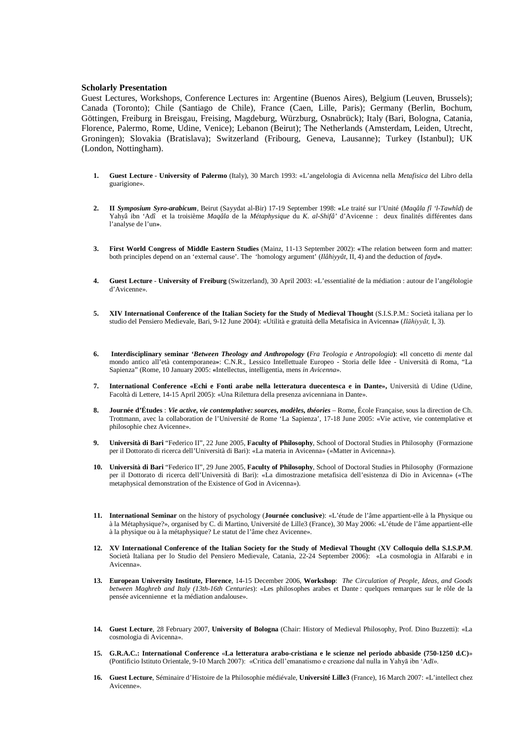#### **Scholarly Presentation**

Guest Lectures, Workshops, Conference Lectures in: Argentine (Buenos Aires), Belgium (Leuven, Brussels); Canada (Toronto); Chile (Santiago de Chile), France (Caen, Lille, Paris); Germany (Berlin, Bochum, Göttingen, Freiburg in Breisgau, Freising, Magdeburg, Würzburg, Osnabrück); Italy (Bari, Bologna, Catania, Florence, Palermo, Rome, Udine, Venice); Lebanon (Beirut); The Netherlands (Amsterdam, Leiden, Utrecht, Groningen); Slovakia (Bratislava); Switzerland (Fribourg, Geneva, Lausanne); Turkey (Istanbul); UK (London, Nottingham).

- **1. Guest Lecture University of Palermo** (Italy), 30 March 1993: «L'angelologia di Avicenna nella *Metafisica* del Libro della guarigione».
- **2. II** *Symposium Syro-arabicum*, Beirut (Sayydat al-Bir) 17-19 September 1998: **«**Le traité sur l'Unité (*Maqâla fî 'l-Tawhîd*) de Yahyâ ibn 'Adî et la troisième *Maqâla* de la *Métaphysique* du *K. al-Shifâ'* d'Avicenne : deux finalités différentes dans l'analyse de l'un**»**.
- **3. First World Congress of Middle Eastern Studies** (Mainz, 11-13 September 2002): **«**The relation between form and matter: both principles depend on an 'external cause'. The 'homology argument' (*Ilâhiyyât*, II, 4) and the deduction of *fayd***»**.
- **4. Guest Lecture University of Freiburg** (Switzerland), 30 April 2003: «L'essentialité de la médiation : autour de l'angélologie d'Avicenne».
- **5. XIV International Conference of the Italian Society for the Study of Medieval Thought** (S.I.S.P.M.: Società italiana per lo studio del Pensiero Medievale, Bari, 9-12 June 2004): «Utilità e gratuità della Metafisica in Avicenna**»** (*Ilāhiyyāt,* I, 3).
- **6. Interdisciplinary seminar '***Between Theology and Anthropology* **(***Fra Teologia e Antropologia***)**: **«**Il concetto di *mente* dal mondo antico all'età contemporanea**»**: C.N.R., Lessico Intellettuale Europeo - Storia delle Idee - Università di Roma, "La Sapienza" (Rome, 10 January 2005: **«**Intellectus, intelligentia*,* mens *in Avicenna*».
- **7. International Conference «Echi e Fonti arabe nella letteratura duecentesca e in Dante»,** Università di Udine (Udine, Facoltà di Lettere, 14-15 April 2005): «Una Rilettura della presenza avicenniana in Dante».
- **8. Journée d'Études** : *Vie active, vie contemplative: sources, modèles, théories* Rome, École Française*,* sous la direction de Ch. Trottmann, avec la collaboration de l'Université de Rome 'La Sapienza', 17-18 June 2005: «Vie active, vie contemplative et philosophie chez Avicenne».
- **9. Università di Bari** "Federico II", 22 June 2005, **Faculty of Philosophy**, School of Doctoral Studies in Philosophy (Formazione per il Dottorato di ricerca dell'Università di Bari): «La materia in Avicenna» («Matter in Avicenna»).
- **10. Università di Bari** "Federico II", 29 June 2005, **Faculty of Philosophy**, School of Doctoral Studies in Philosophy (Formazione per il Dottorato di ricerca dell'Università di Bari): «La dimostrazione metafisica dell'esistenza di Dio in Avicenna» («The metaphysical demonstration of the Existence of God in Avicenna»).
- **11. International Seminar** on the history of psychology (**Journée conclusive**): «L'étude de l'âme appartient-elle à la Physique ou à la Métaphysique?», organised by C. di Martino, Université de Lille3 (France), 30 May 2006: «L'étude de l'âme appartient-elle à la physique ou à la métaphysique? Le statut de l'âme chez Avicenne».
- **12. XV International Conference of the Italian Society for the Study of Medieval Thought** (**XV Colloquio della S.I.S.P.M**. Società Italiana per lo Studio del Pensiero Medievale, Catania, 22-24 September 2006): «La cosmologia in Alfarabi e in Avicenna».
- **13. European University Institute, Florence**, 14-15 December 2006, **Workshop**: *The Circulation of People, Ideas, and Goods between Maghreb and Italy (13th-16th Centuries*): «Les philosophes arabes et Dante : quelques remarques sur le rôle de la pensée avicennienne et la médiation andalouse».
- **14. Guest Lecture**, 28 February 2007, **University of Bologna** (Chair: History of Medieval Philosophy, Prof. Dino Buzzetti): «La cosmologia di Avicenna».
- **15. G.R.A.C.: International Conference** «**La letteratura arabo-cristiana e le scienze nel periodo abbaside (750-1250 d.C)**» (Pontificio Istituto Orientale, 9-10 March 2007): «Critica dell'emanatismo e creazione dal nulla in Yahyā ibn 'Adī».
- **16. Guest Lecture**, Séminaire d'Histoire de la Philosophie médiévale, **Université Lille3** (France), 16 March 2007: «L'intellect chez Avicenne».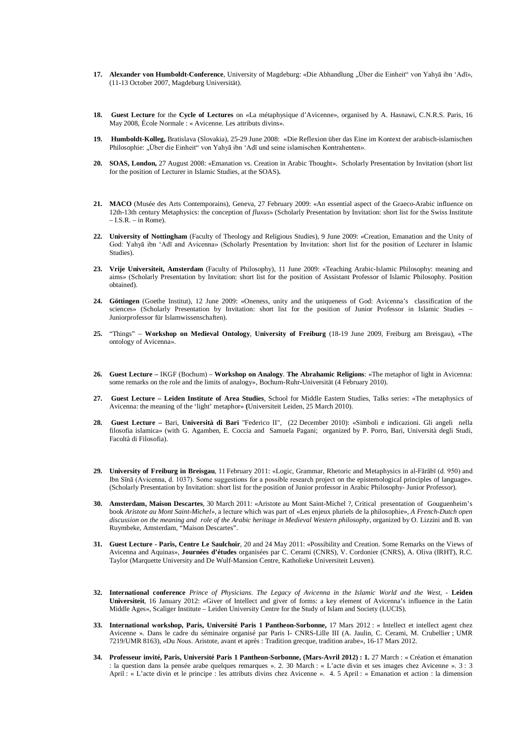- 17. **Alexander von Humboldt-Conference**, University of Magdeburg: «Die Abhandlung "Über die Einheit" von Yahyā ibn 'Adī», (11-13 October 2007, Magdeburg Universität).
- **18. Guest Lecture** for the **Cycle of Lectures** on «La métaphysique d'Avicenne», organised by A. Hasnawi, C.N.R.S. Paris, 16 May 2008, École Normale : « Avicenne. Les attributs divins».
- **19. Humboldt-Kolleg,** Bratislava (Slovakia), 25-29 June 2008: «Die Reflexion über das Eine im Kontext der arabisch-islamischen Philosophie: "Über die Einheit" von Yahyā ibn 'Adī und seine islamischen Kontrahenten».
- **20. SOAS, London,** 27 August 2008: «Emanation vs. Creation in Arabic Thought». Scholarly Presentation by Invitation (short list for the position of Lecturer in Islamic Studies, at the SOAS)**.**
- **21. MACO** (Musée des Arts Contemporains), Geneva, 27 February 2009: «An essential aspect of the Graeco-Arabic influence on 12th-13th century Metaphysics: the conception of *fluxus*» (Scholarly Presentation by Invitation: short list for the Swiss Institute  $-LS.R. - in Rome$ ).
- **22. University of Nottingham** (Faculty of Theology and Religious Studies), 9 June 2009: «Creation, Emanation and the Unity of God: Yahyā ibn 'Adī and Avicenna» (Scholarly Presentation by Invitation: short list for the position of Lecturer in Islamic Studies).
- **23. Vrije Universiteit, Amsterdam** (Faculty of Philosophy), 11 June 2009: «Teaching Arabic-Islamic Philosophy: meaning and aims» (Scholarly Presentation by Invitation: short list for the position of Assistant Professor of Islamic Philosophy. Position obtained).
- **24. Göttingen** (Goethe Institut), 12 June 2009: «Oneness, unity and the uniqueness of God: Avicenna's classification of the sciences» (Scholarly Presentation by Invitation: short list for the position of Junior Professor in Islamic Studies – Juniorprofessor für Islamwissenschaften).
- **25.** "Things" **Workshop on Medieval Ontology**, **University of Freiburg** (18-19 June 2009, Freiburg am Breisgau), «The ontology of Avicenna».
- **26. Guest Lecture –** IKGF (Bochum) **Workshop on Analogy**. **The Abrahamic Religions**: «The metaphor of light in Avicenna: some remarks on the role and the limits of analogy», Bochum-Ruhr-Universität (4 February 2010).
- **27. Guest Lecture – Leiden Institute of Area Studies**, School for Middle Eastern Studies, Talks series: «The metaphysics of Avicenna: the meaning of the 'light' metaphor» **(**Universiteit Leiden, 25 March 2010).
- **28. Guest Lecture –** Bari, **Università di Bari** "Federico II", (22 December 2010): «Simboli e indicazioni. Gli angeli nella filosofia islamica» (with G. Agamben, E. Coccia and Samuela Pagani; organized by P. Porro, Bari, Università degli Studi, Facoltà di Filosofia).
- **29. University of Freiburg in Breisgau**, 11 February 2011: «Logic, Grammar, Rhetoric and Metaphysics in al-Fārābī (d. 950) and Ibn Sīnā (Avicenna, d. 1037). Some suggestions for a possible research project on the epistemological principles of language»*.* (Scholarly Presentation by Invitation: short list for the position of Junior professor in Arabic Philosophy- Junior Professor).
- **30. Amsterdam, Maison Descartes**, 30 March 2011: «Aristote au Mont Saint-Michel ?, Critical presentation of Gouguenheim's book *Aristote au Mont Saint-Michel*», a lecture which was part of «Les enjeux pluriels de la philosophie», *A French-Dutch open discussion on the meaning and role of the Arabic heritage in Medieval Western philosophy*, organized by O. Lizzini and B. van Ruymbeke, Amsterdam, "Maison Descartes".
- **31. Guest Lecture - Paris, Centre Le Saulchoir**, 20 and 24 May 2011: «Possibility and Creation. Some Remarks on the Views of Avicenna and Aquinas»*,* **Journées d'études** organisées par C. Cerami (CNRS), V. Cordonier (CNRS), A. Oliva (IRHT), R.C. Taylor (Marquette University and De Wulf-Mansion Centre, Katholieke Universiteit Leuven)*.*
- **32. International conference** *Prince of Physicians. The Legacy of Avicenna in the Islamic World and the West, -* **Leiden Universiteit**, 16 January 2012: «Giver of Intellect and giver of forms: a key element of Avicenna's influence in the Latin Middle Ages», Scaliger Institute – Leiden University Centre for the Study of Islam and Society (LUCIS).
- **33. International workshop, Paris, Université Paris 1 Pantheon-Sorbonne,** 17 Mars 2012 : « Intellect et intellect agent chez Avicenne ». Dans le cadre du séminaire organisé par Paris I- CNRS-Lille III (A. Jaulin, C. Cerami, M. Crubellier ; UMR 7219/UMR 8163), «Du *Nous*. Aristote, avant et après : Tradition grecque, tradition arabe», 16-17 Mars 2012.
- **34. Professeur invité, Paris, Université Paris 1 Pantheon-Sorbonne, (Mars-Avril 2012) : 1.** 27 March : « Création et émanation : la question dans la pensée arabe quelques remarques ». 2. 30 March : « L'acte divin et ses images chez Avicenne ». 3 : 3 April : « L'acte divin et le principe : les attributs divins chez Avicenne ». 4. 5 April : « Emanation et action : la dimension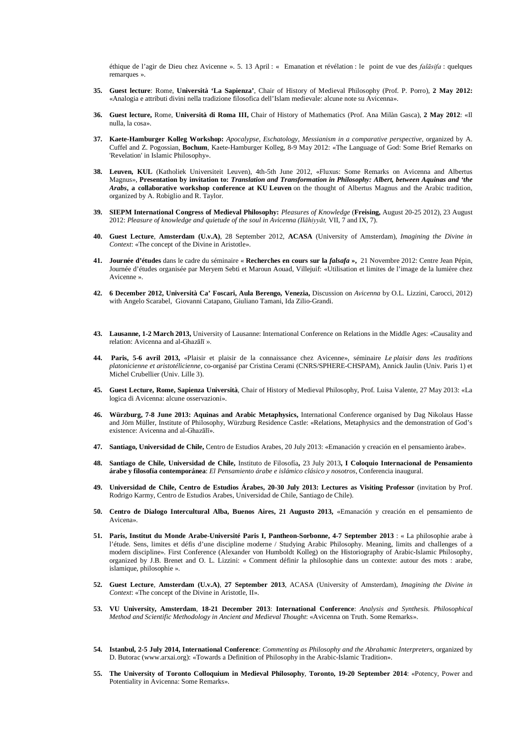éthique de l'agir de Dieu chez Avicenne ». 5. 13 April : « Emanation et révélation : le point de vue des *falāsifa* : quelques remarques ».

- **35. Guest lecture**: Rome, **Università 'La Sapienza'**, Chair of History of Medieval Philosophy (Prof. P. Porro), **2 May 2012:** «Analogia e attributi divini nella tradizione filosofica dell'Islam medievale: alcune note su Avicenna».
- **36. Guest lecture,** Rome, **Università di Roma III,** Chair of History of Mathematics (Prof. Ana Milàn Gasca), **2 May 2012**: «Il nulla, la cosa».
- **37. Kaete-Hamburger Kolleg Workshop:** *Apocalypse, Eschatology, Messianism in a comparative perspective*, organized by A. Cuffel and Z. Pogossian, **Bochum**, Kaete-Hamburger Kolleg, 8-9 May 2012: «The Language of God: Some Brief Remarks on 'Revelation' in Islamic Philosophy».
- **38. Leuven, KUL** (Katholiek Universiteit Leuven), 4th-5th June 2012, «Fluxus: Some Remarks on Avicenna and Albertus Magnus», **Presentation by invitation to:** *Translation and Transformation in Philosophy: Albert, between Aquinas and 'the Arabs***, a collaborative workshop conference at KU Leuven** on the thought of Albertus Magnus and the Arabic tradition, organized by A. Robiglio and R. Taylor.
- **39. SIEPM International Congress of Medieval Philosophy:** *Pleasures of Knowledge* (**Freising,** August 20-25 2012), 23 August 2012: *Pleasure of knowledge and quietude of the soul in Avicenna (Ilāhiyyāt,* VII, 7 and IX, 7).
- **40. Guest Lecture**, **Amsterdam (U.v.A)**, 28 September 2012, **ACASA** (University of Amsterdam), *Imagining the Divine in Context*: «The concept of the Divine in Aristotle».
- **41. Journée d'études** dans le cadre du séminaire « **Recherches en cours sur la** *falsafa* **»,** 21 Novembre 2012: Centre Jean Pépin, Journée d'études organisée par Meryem Sebti et Maroun Aouad, Villejuif: «Utilisation et limites de l'image de la lumière chez Avicenne ».
- **42. 6 December 2012, Università Ca' Foscari, Aula Berengo, Venezia,** Discussion on *Avicenna* by O.L. Lizzini, Carocci, 2012) with Angelo Scarabel, Giovanni Catapano, Giuliano Tamani, Ida Zilio-Grandi.
- **43. Lausanne, 1-2 March 2013,** University of Lausanne: International Conference on Relations in the Middle Ages: «Causality and relation: Avicenna and al-Ghazālī ».
- **44. Paris, 5-6 avril 2013,** «Plaisir et plaisir de la connaissance chez Avicenne», séminaire *Le plaisir dans les traditions platonicienne et aristotélicienne,* co-organisé par Cristina Cerami (CNRS/SPHERE-CHSPAM), Annick Jaulin (Univ. Paris 1) et Michel Crubellier (Univ. Lille 3).
- **45. Guest Lecture, Rome, Sapienza Università**, Chair of History of Medieval Philosophy, Prof. Luisa Valente, 27 May 2013: «La logica di Avicenna: alcune osservazioni».
- **46. Würzburg, 7-8 June 2013: Aquinas and Arabic Metaphysics,** International Conference organised by Dag Nikolaus Hasse and Jörn Müller, Institute of Philosophy, Würzburg Residence Castle: «Relations, Metaphysics and the demonstration of God's existence: Avicenna and al-Ghazālī».
- **47. Santiago, Universidad de Chile,** Centro de Estudios Arabes, 20 July 2013: «Emanación y creación en el pensamiento àrabe».
- **48. Santiago de Chile, Universidad de Chile,** Instituto de Filosofía**,** 23 July 2013**, I Coloquio Internacional de Pensamiento árabe y filosofía contemporánea**: *El Pensamiento árabe e islámico clásico y nosotros*, Conferencia inaugural.
- **49. Universidad de Chile, Centro de Estudios Árabes, 20-30 July 2013: Lectures as Visiting Professor** (invitation by Prof. Rodrigo Karmy, Centro de Estudios Arabes, Universidad de Chile, Santiago de Chile).
- **50. Centro de Dialogo Intercultural Alba, Buenos Aires, 21 Augusto 2013,** «Emanación y creación en el pensamiento de Avicena».
- **51. Paris, Institut du Monde Arabe-Université Paris I, Pantheon-Sorbonne, 4-7 September 2013** : « La philosophie arabe à l'étude. Sens, limites et défis d'une discipline moderne / Studying Arabic Philosophy. Meaning, limits and challenges of a modern discipline». First Conference (Alexander von Humboldt Kolleg) on the Historiography of Arabic-Islamic Philosophy, organized by J.B. Brenet and O. L. Lizzini: « Comment définir la philosophie dans un contexte: autour des mots : arabe, islamique, philosophie ».
- **52. Guest Lecture**, **Amsterdam (U.v.A)**, **27 September 2013**, ACASA (University of Amsterdam), *Imagining the Divine in Context*: «The concept of the Divine in Aristotle, II».
- **53. VU University, Amsterdam**, **18-21 December 2013**: **International Conference**: *Analysis and Synthesis. Philosophical Method and Scientific Methodology in Ancient and Medieval Thought*: «Avicenna on Truth. Some Remarks».
- **54. Istanbul, 2-5 July 2014, International Conference**: *Commenting as Philosophy and the Abrahamic Interpreters*, organized by D. Butorac (www.arxai.org): «Towards a Definition of Philosophy in the Arabic-Islamic Tradition».
- **55. The University of Toronto Colloquium in Medieval Philosophy**, **Toronto, 19-20 September 2014**: «Potency, Power and Potentiality in Avicenna: Some Remarks».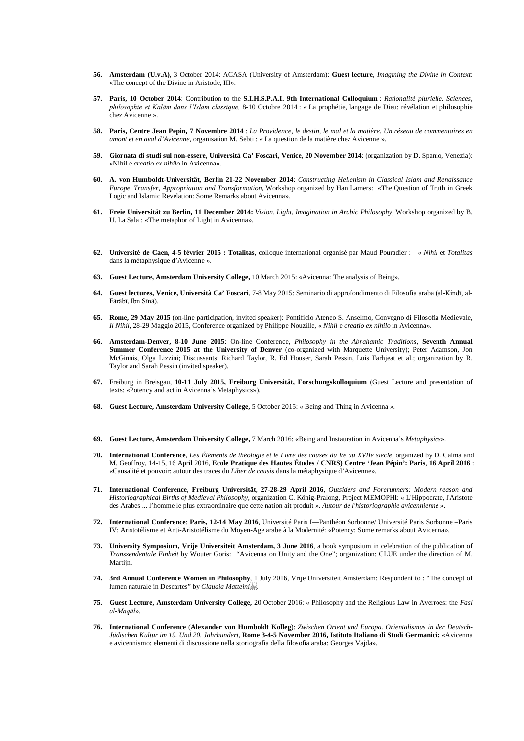- **56. Amsterdam (U.v.A)**, 3 October 2014: ACASA (University of Amsterdam): **Guest lecture**, *Imagining the Divine in Context*: «The concept of the Divine in Aristotle, III».
- **57. Paris, 10 October 2014**: Contribution to the **S.I.H.S.P.A.I. 9th International Colloquium** : *Rationalité plurielle. Sciences, philosophie et Kalām dans l'Islam classique,* 8-10 Octobre 2014 : « La prophétie, langage de Dieu: révélation et philosophie chez Avicenne ».
- **58. Paris, Centre Jean Pepin, 7 Novembre 2014** : *La Providence, le destin, le mal et la matière. Un réseau de commentaires en amont et en aval d'Avicenne*, organisation M. Sebti : « La question de la matière chez Avicenne ».
- **59. Giornata di studi sul non-essere, Università Ca' Foscari, Venice, 20 November 2014**: (organization by D. Spanio, Venezia): «Nihil e *creatio ex nihilo* in Avicenna».
- **60. A. von Humboldt-Universität, Berlin 21-22 November 2014**: *Constructing Hellenism in Classical Islam and Renaissance Europe. Transfer, Appropriation and Transformation*, Workshop organized by Han Lamers: «The Question of Truth in Greek Logic and Islamic Revelation: Some Remarks about Avicenna».
- **61. Freie Universität zu Berlin, 11 December 2014:** *Vision, Light, Imagination in Arabic Philosophy*, Workshop organized by B. U. La Sala : «The metaphor of Light in Avicenna».
- **62. Université de Caen, 4-5 février 2015 : Totalitas**, colloque international organisé par Maud Pouradier : « *Nihil* et *Totalitas* dans la métaphysique d'Avicenne ».
- **63. Guest Lecture, Amsterdam University College,** 10 March 2015: «Avicenna: The analysis of Being».
- **64. Guest lectures, Venice, Università Ca' Foscari**, 7-8 May 2015: Seminario di approfondimento di Filosofia araba (al-Kindī, al-Fārābī, Ibn Sīnā).
- **65. Rome, 29 May 2015** (on-line participation, invited speaker): Pontificio Ateneo S. Anselmo, Convegno di Filosofia Medievale, *Il Nihil*, 28-29 Maggio 2015, Conference organized by Philippe Nouzille, « *Nihil* e *creatio ex nihilo* in Avicenna».
- **66. Amsterdam-Denver, 8-10 June 2015**: On-line Conference, *Philosophy in the Abrahamic Traditions,* **Seventh Annual Summer Conference 2015 at the University of Denver** (co-organized with Marquette University); Peter Adamson, Jon McGinnis, Olga Lizzini; Discussants: Richard Taylor, R. Ed Houser, Sarah Pessin, Luis Farhjeat et al.; organization by R. Taylor and Sarah Pessin (invited speaker).
- **67.** Freiburg in Breisgau, **10-11 July 2015, Freiburg Universität, Forschungskolloquium** (Guest Lecture and presentation of texts: «Potency and act in Avicenna's Metaphysics»).
- **68. Guest Lecture, Amsterdam University College,** 5 October 2015: « Being and Thing in Avicenna ».
- **69. Guest Lecture, Amsterdam University College,** 7 March 2016: «Being and Instauration in Avicenna's *Metaphysics*».
- **70. International Conference**, *Les Éléments de théologie et le Livre des causes du Ve au XVIIe siècle*, organized by D. Calma and M. Geoffroy, 14-15, 16 April 2016, **Ecole Pratique des Hautes Études / CNRS) Centre 'Jean Pépin': Paris**, **16 April 2016** : «Causalité et pouvoir: autour des traces du *Liber de causis* dans la métaphysique d'Avicenne».
- **71. International Conference**, **Freiburg Universität**, **27-28-29 April 2016**, *Outsiders and Forerunners: Modern reason and Historiographical Births of Medieval Philosophy*, organization C. König-Pralong, Project MEMOPHI: « L'Hippocrate, l'Aristote des Arabes ... l'homme le plus extraordinaire que cette nation ait produit ». *Autour de l'historiographie avicennienne* ».
- **72. International Conference**: **Paris, 12-14 May 2016**, Université Paris I—Panthéon Sorbonne/ Université Paris Sorbonne –Paris IV: Aristotélisme et Anti-Aristotélisme du Moyen-Age arabe à la Modernité: «Potency: Some remarks about Avicenna».
- **73. University Symposium, Vrije Universiteit Amsterdam, 3 June 2016**, a book symposium in celebration of the publication of *Transzendentale Einheit* by Wouter Goris: *"*Avicenna on Unity and the One"; organization: CLUE under the direction of M. Martijn.
- **74. 3rd Annual Conference Women in Philosophy**, 1 July 2016, Vrije Universiteit Amsterdam: Respondent to : "The concept of lumen naturale in Descartes" by *Claudia Matteini .*
- **75. Guest Lecture, Amsterdam University College,** 20 October 2016: « Philosophy and the Religious Law in Averroes: the *Fasl al-Maqāl*».
- **76. International Conference** (**Alexander von Humboldt Kolleg**): *Zwischen Orient und Europa. Orientalismus in der Deutsch-Jüdischen Kultur im 19. Und 20. Jahrhundert*, **Rome 3-4-5 November 2016, Istituto Italiano di Studi Germanici:** «Avicenna e avicennismo: elementi di discussione nella storiografia della filosofia araba: Georges Vajda».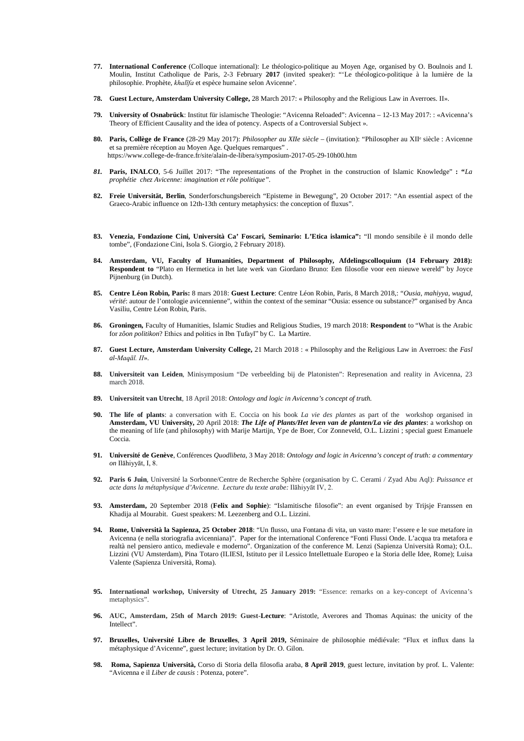- **77. International Conference** (Colloque international): Le théologico-politique au Moyen Age, organised by O. Boulnois and I. Moulin, Institut Catholique de Paris, 2-3 February **2017** (invited speaker): "'Le théologico-politique à la lumière de la philosophie. Prophète, *khalīfa* et espèce humaine selon Avicenne'.
- **78. Guest Lecture, Amsterdam University College,** 28 March 2017: « Philosophy and the Religious Law in Averroes. II».
- **79. University of Osnabrück**: Institut für islamische Theologie: "Avicenna Reloaded": Avicenna 12-13 May 2017: : «Avicenna's Theory of Efficient Causality and the idea of potency. Aspects of a Controversial Subject ».
- 80. Paris, Collège de France (28-29 May 2017): *Philosopher au XIIe siècle* (invitation): "Philosopher au XII<sup>e</sup> siècle : Avicenne et sa première réception au Moyen Age. Quelques remarques" . <https://www.college-de-france.fr/site/alain-de-libera/symposium-2017-05-29-10h00.htm>
- *81.* **Paris, INALCO**, 5-6 Juillet 2017: "The representations of the Prophet in the construction of Islamic Knowledge" **: "***La prophétie chez Avicenne: imagination et rôle politique".*
- **82. Freie Universität, Berlin**, Sonderforschungsbereich "Episteme in Bewegung", 20 October 2017: "An essential aspect of the Graeco-Arabic influence on 12th-13th century metaphysics: the conception of fluxus".
- **83. Venezia, Fondazione Cini, Università Ca' Foscari, Seminario: L'Etica islamica":** "Il mondo sensibile è il mondo delle tombe", (Fondazione Cini, Isola S. Giorgio, 2 February 2018).
- **84. Amsterdam, VU, Faculty of Humanities, Department of Philosophy, Afdelingscolloquium (14 February 2018): Respondent to** "Plato en Hermetica in het late werk van Giordano Bruno: Een filosofie voor een nieuwe wereld" by Joyce Pijnenburg (in Dutch).
- **85. Centre Léon Robin, Paris:** 8 mars 2018: **Guest Lecture**: Centre Léon Robin, Paris, 8 March 2018,: "*Ousia*, *mahiyya*, *wugud, vérité*: autour de l'ontologie avicennienne", within the context of the seminar "Ousia: essence ou substance?" organised by Anca Vasiliu, Centre Léon Robin, Paris.
- **86. Groningen,** Faculty of Humanities, Islamic Studies and Religious Studies, 19 march 2018: **Respondent** to "What is the Arabic for *zôon politikon*? Ethics and politics in Ibn Ṭufayl" by C. La Martire.
- **87. Guest Lecture, Amsterdam University College,** 21 March 2018 : « Philosophy and the Religious Law in Averroes: the *Fasl al-Maqāl. II*».
- **88. Universiteit van Leiden**, Minisymposium "De verbeelding bij de Platonisten": Represenation and reality in Avicenna, 23 march 2018.
- **89. Universiteit van Utrecht**, 18 April 2018: *Ontology and logic in Avicenna's concept of truth.*
- **90. The life of plants**: a conversation with E. Coccia on his book *La vie des plantes* as part of the workshop organised in **Amsterdam, VU University,** 20 April 2018: *The Life of Plants/Het leven van de planten/La vie des plantes*: a workshop on the meaning of life (and philosophy) with Marije Martijn, Ype de Boer, Cor Zonneveld, O.L. Lizzini ; special guest Emanuele Coccia.
- **91. Université de Genève**, Conférences *Quodlibeta*, 3 May 2018: *Ontology and logic in Avicenna's concept of truth: a commentary on* Ilāhiyyāt, I, 8.
- **92. Paris 6 Juin**, Université la Sorbonne/Centre de Recherche Sphère (organisation by C. Cerami / Zyad Abu Aql): *Puissance et acte dans la métaphysique d'Avicenne. Lecture du texte arabe:* Ilāhiyyāt IV, 2.
- **93. Amsterdam,** 20 September 2018 (**Felix and Sophie**): "Islamitische filosofie": an event organised by Trijsje Franssen en Khadija al Mourabit. Guest speakers: M. Leezenberg and O.L. Lizzini.
- **94. Rome, Università la Sapienza, 25 October 2018**: "Un flusso, una Fontana di vita, un vasto mare: l'essere e le sue metafore in Avicenna (e nella storiografia avicenniana)". Paper for the international Conference "Fonti Flussi Onde. L'acqua tra metafora e realtà nel pensiero antico, medievale e moderno". Organization of the conference M. Lenzi (Sapienza Università Roma); O.L. Lizzini (VU Amsterdam), Pina Totaro (ILIESI, Istituto per il Lessico [Intellettuale Europeo e la Storia delle Idee,](http://www.iliesi.cnr.it/materiali/Gregory_Lessico_intellettuale_europeo.pdf) Rome); Luisa Valente (Sapienza Università, Roma).
- **95. International workshop, University of Utrecht, 25 January 2019:** "Essence: remarks on a key-concept of Avicenna's metaphysics".
- **96. AUC, Amsterdam, 25th of March 2019: Guest-Lecture**: "Aristotle, Averores and Thomas Aquinas: the unicity of the Intellect".
- **97. Bruxelles, Université Libre de Bruxelles**, **3 April 2019,** Séminaire de philosophie médiévale: "Flux et influx dans la métaphysique d'Avicenne", guest lecture; invitation by Dr. O. Gilon.
- **98. Roma, Sapienza Università,** Corso di Storia della filosofia araba, **8 April 2019**, guest lecture, invitation by prof. L. Valente: "Avicenna e il *Liber de causis* : Potenza, potere".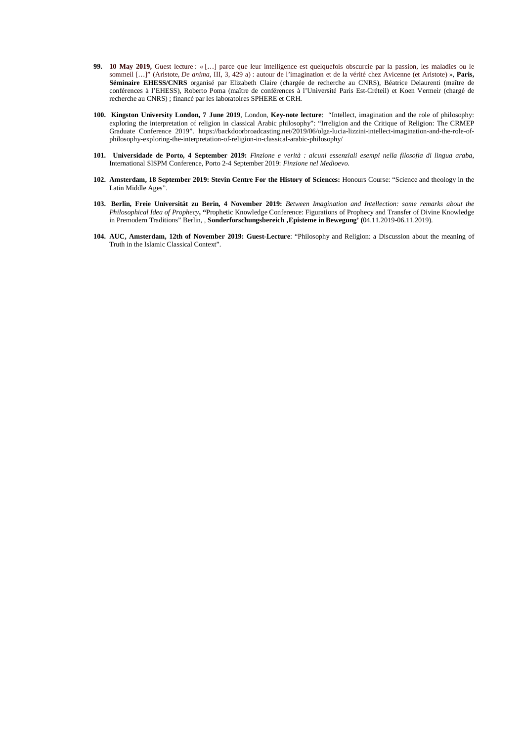- **99. 10 May 2019,** Guest lecture : « […] parce que leur intelligence est quelquefois obscurcie par la passion, les maladies ou le sommeil […]" (Aristote, *De anima*, III, 3, 429 a) : autour de l'imagination et de la vérité chez Avicenne (et Aristote) », **Paris, Séminaire EHESS/CNRS** organisé par Elizabeth Claire (chargée de recherche au CNRS), Béatrice Delaurenti (maître de conférences à l'EHESS), Roberto Poma (maître de conférences à l'Université Paris Est-Créteil) et Koen Vermeir (chargé de recherche au CNRS) ; financé par les laboratoires SPHERE et CRH.
- **100. Kingston University London, 7 June 2019**, London, **Key-note lecture**: "Intellect, imagination and the role of philosophy: exploring the interpretation of religion in classical Arabic philosophy": "Irreligion and the Critique of Religion: The CRMEP Graduate Conference 2019". [https://backdoorbroadcasting.net/2019/06/olga-lucia-lizzini-intellect-imagination-and-the-role-of](https://backdoorbroadcasting.net/2019/06/olga-lucia-lizzini-intellect-imagination-and-the-role-of-philosophy-exploring-the-interpretation-of-religion-in-classical-arabic-philosophy/)[philosophy-exploring-the-interpretation-of-religion-in-classical-arabic-philosophy/](https://backdoorbroadcasting.net/2019/06/olga-lucia-lizzini-intellect-imagination-and-the-role-of-philosophy-exploring-the-interpretation-of-religion-in-classical-arabic-philosophy/)
- **101. Universidade de Porto, 4 September 2019:** *Finzione e verità : alcuni essenziali esempi nella filosofia di lingua araba*, International SISPM Conference, Porto 2-4 September 2019: *Finzione nel Medioevo*.
- **102. Amsterdam, 18 September 2019: Stevin Centre For the History of Sciences:** Honours Course: "Science and theology in the Latin Middle Ages".
- **103. Berlin, Freie Universität zu Berin, 4 November 2019:** *Between Imagination and Intellection: some remarks about the Philosophical Idea of Prophecy***, "**Prophetic Knowledge Conference: Figurations of Prophecy and Transfer of Divine Knowledge in Premodern Traditions" Berlin, *,* **Sonderforschungsbereich 'Episteme in Bewegung' (**04.11.2019-06.11.2019).
- **104. AUC, Amsterdam, 12th of November 2019: Guest-Lecture**: "Philosophy and Religion: a Discussion about the meaning of Truth in the Islamic Classical Context".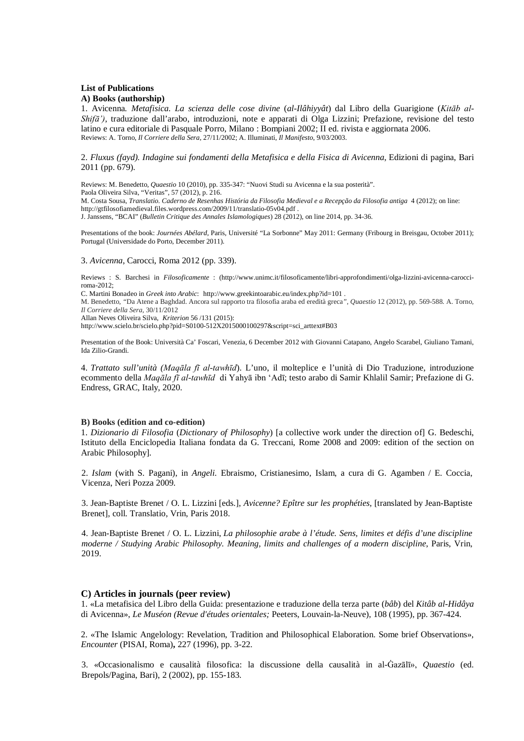#### **List of Publications**

#### **A) Books (authorship)**

1. Avicenna*. Metafisica. La scienza delle cose divine* (*al-Ilâhiyyât*) dal Libro della Guarigione (*Kitāb al-Shifā')*, traduzione dall'arabo, introduzioni, note e apparati di Olga Lizzini; Prefazione, revisione del testo latino e cura editoriale di Pasquale Porro, Milano : Bompiani 2002; II ed. rivista e aggiornata 2006. Reviews: A. Torno, *Il Corriere della Sera*, 27/11/2002; A. Illuminati, *Il Manifesto*, 9/03/2003.

2. *Fluxus (fayd). Indagine sui fondamenti della Metafisica e della Fisica di Avicenna*, Edizioni di pagina, Bari 2011 (pp. 679).

Reviews: M. Benedetto, *Quaestio* 10 (2010), pp. 335-347: "Nuovi Studi su Avicenna e la sua posterità". Paola Oliveira Silva, "Veritas", 57 (2012), p. 216. M. Costa Sousa, *Translatio. Caderno de Resenhas História da Filosofia Medieval e a Recepção da Filosofia antiga* 4 (2012); on line: http://gtfilosofiamedieval.files.wordpress.com/2009/11/translatio-05v04.pdf . J. Janssens, "BCAI" (*Bulletin Critique des Annales Islamologiques*) 28 (2012), on line 2014, pp. 34-36.

Presentations of the book: *Journées Abélard*, Paris, Université "La Sorbonne" May 2011: Germany (Fribourg in Breisgau, October 2011); Portugal (Universidade do Porto, December 2011).

#### 3. *Avicenna*, Carocci, Roma 2012 (pp. 339).

Reviews : S. Barchesi in *Filosoficamente* : (http://www.unimc.it/filosoficamente/libri-approfondimenti/olga-lizzini-avicenna-carocciroma-2012;

C. Martini Bonadeo in *Greek into Arabic*: http://www.greekintoarabic.eu/index.php?id=101 .

M. Benedetto, *"*Da Atene a Baghdad. Ancora sul rapporto tra filosofia araba ed eredità greca*", Quaestio* 12 (2012), pp. 569-588*.* A. Torno*, Il Corriere della Sera,* 30/11/2012

Allan Neves Oliveira Silva, *Kriterion* 56 /131 (2015):

http://www.scielo.br/scielo.php?pid=S0100-512X2015000100297&script=sci\_arttext#B03

Presentation of the Book: Università Ca' Foscari, Venezia, 6 December 2012 with Giovanni Catapano, Angelo Scarabel, Giuliano Tamani, Ida Zilio-Grandi.

4. *Trattato sull'unità (Maqāla fī al-tawhīd*). L'uno, il molteplice e l'unità di Dio Traduzione, introduzione ecommento della *Maqāla fī al-tawhīd* di Yahyā ibn 'Adī; testo arabo di Samir Khlalil Samir; Prefazione di G. Endress, GRAC, Italy, 2020.

#### **B) Books (edition and co-edition)**

1. *Dizionario di Filosofia* (*Dictionary of Philosophy*) [a collective work under the direction of] G. Bedeschi, Istituto della Enciclopedia Italiana fondata da G. Treccani, Rome 2008 and 2009: edition of the section on Arabic Philosophy]*.* 

2. *Islam* (with S. Pagani), in *Angeli.* Ebraismo, Cristianesimo, Islam, a cura di G. Agamben / E. Coccia, Vicenza, Neri Pozza 2009.

3. Jean-Baptiste Brenet / O. L. Lizzini [eds.], *Avicenne? Epître sur les prophéties,* [translated by Jean-Baptiste Brenet], coll. Translatio, Vrin, Paris 2018.

4. Jean-Baptiste Brenet / O. L. Lizzini, *La philosophie arabe à l'étude. Sens, limites et défis d'une discipline moderne / Studying Arabic Philosophy. Meaning, limits and challenges of a modern discipline*, Paris, Vrin, 2019.

#### **C) Articles in journals (peer review)**

1. «La metafisica del Libro della Guida: presentazione e traduzione della terza parte (*bâb*) del *Kitâb al-Hidâya*  di Avicenna», *Le Muséon (Revue d'études orientales;* Peeters, Louvain-la-Neuve), 108 (1995), pp. 367-424.

2. «The Islamic Angelology: Revelation, Tradition and Philosophical Elaboration. Some brief Observations», *Encounter* (PISAI, Roma)**,** 227 (1996), pp. 3-22.

3. «Occasionalismo e causalità filosofica: la discussione della causalità in al-Ġazālī», *Quaestio* (ed. Brepols/Pagina, Bari), 2 (2002), pp. 155-183.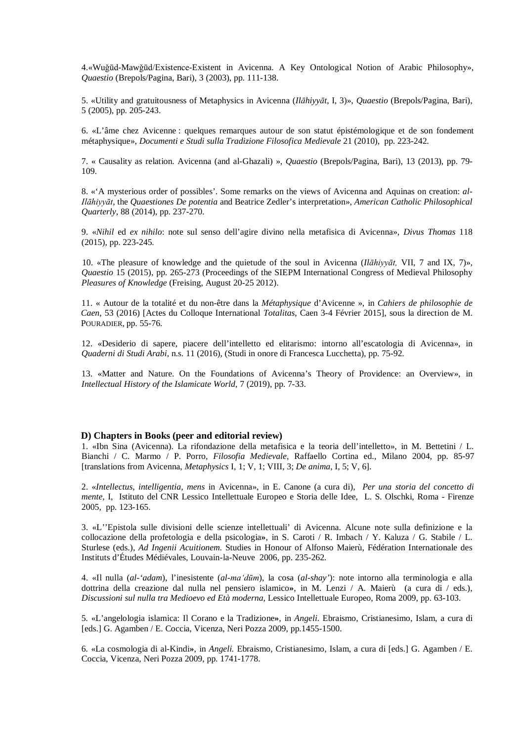4.«Wuǧūd-Mawǧūd/Existence-Existent in Avicenna. A Key Ontological Notion of Arabic Philosophy», *Quaestio* (Brepols/Pagina, Bari), 3 (2003), pp. 111-138.

5. «Utility and gratuitousness of Metaphysics in Avicenna (*Ilāhiyyāt*, I, 3)», *Quaestio* (Brepols/Pagina, Bari), 5 (2005), pp. 205-243.

6. «L'âme chez Avicenne : quelques remarques autour de son statut épistémologique et de son fondement métaphysique», *Documenti e Studi sulla Tradizione Filosofica Medievale* 21 (2010), pp. 223-242.

7. « Causality as relation. Avicenna (and al-Ghazali) », *Quaestio* (Brepols/Pagina, Bari), 13 (2013), pp. 79- 109.

8. «'A mysterious order of possibles'. Some remarks on the views of Avicenna and Aquinas on creation: *al-Ilāhiyyāt*, the *Quaestiones De potentia* and Beatrice Zedler's interpretation», *American Catholic Philosophical Quarterly*, 88 (2014), pp. 237-270.

9. «*Nihil* ed *ex nihilo*: note sul senso dell'agire divino nella metafisica di Avicenna», *Divus Thomas* 118 (2015), pp. 223-245.

10. «The pleasure of knowledge and the quietude of the soul in Avicenna (*Ilāhiyyāt,* VII, 7 and IX, 7)», *Quaestio* 15 (2015), pp. 265-273 (Proceedings of the SIEPM International Congress of Medieval Philosophy *Pleasures of Knowledge* (Freising, August 20-25 2012).

11. « Autour de la totalité et du non-être dans la *Métaphysique* d'Avicenne », in *Cahiers de philosophie de Caen*, 53 (2016) [Actes du Colloque International *Totalitas*, Caen 3-4 Février 2015], sous la direction de M. POURADIER, pp. 55-76.

12. «Desiderio di sapere, piacere dell'intelletto ed elitarismo: intorno all'escatologia di Avicenna», in *Quaderni di Studi Arabi*, n.s. 11 (2016), (Studi in onore di Francesca Lucchetta), pp. 75-92.

13. «Matter and Nature. On the Foundations of Avicenna's Theory of Providence: an Overview», in *Intellectual History of the Islamicate World*, 7 (2019), pp. 7-33.

## **D) Chapters in Books (peer and editorial review)**

1. «Ibn Sina (Avicenna). La rifondazione della metafisica e la teoria dell'intelletto», in M. Bettetini / L. Bianchi / C. Marmo / P. Porro, *Filosofia Medievale*, Raffaello Cortina ed., Milano 2004, pp. 85-97 [translations from Avicenna, *Metaphysics* I, 1; V, 1; VIII, 3; *De anima*, I, 5; V, 6].

2. «*Intellectus, intelligentia, mens* in Avicenna», in E. Canone (a cura di), *Per una storia del concetto di mente*, I, Istituto del CNR Lessico Intellettuale Europeo e Storia delle Idee, L. S. Olschki, Roma - Firenze 2005, pp. 123-165.

3. «L''Epistola sulle divisioni delle scienze intellettuali' di Avicenna. Alcune note sulla definizione e la collocazione della profetologia e della psicologia**»**, in S. Caroti / R. Imbach / Y. Kaluza / G. Stabile / L. Sturlese (eds.), *Ad Ingenii Acuitionem*. Studies in Honour of Alfonso Maierù, Fédération Internationale des Instituts d'Études Médiévales, Louvain-la-Neuve 2006, pp. 235-262.

4. «Il nulla (*al-'adam*), l'inesistente (*al-ma'dūm*), la cosa (*al-shay'*): note intorno alla terminologia e alla dottrina della creazione dal nulla nel pensiero islamico**»**, in M. Lenzi / A. Maierù (a cura di / eds.), *Discussioni sul nulla tra Medioevo ed Età moderna*, Lessico Intellettuale Europeo, Roma 2009, pp. 63-103.

5*.* «L'angelologia islamica: Il Corano e la Tradizione**»***,* in *Angeli.* Ebraismo, Cristianesimo, Islam, a cura di [eds.] G. Agamben / E. Coccia, Vicenza, Neri Pozza 2009, pp.1455-1500.

6*.* «La cosmologia di al-Kindi**»**, in *Angeli.* Ebraismo, Cristianesimo, Islam, a cura di [eds.] G. Agamben / E. Coccia, Vicenza, Neri Pozza 2009, pp. 1741-1778.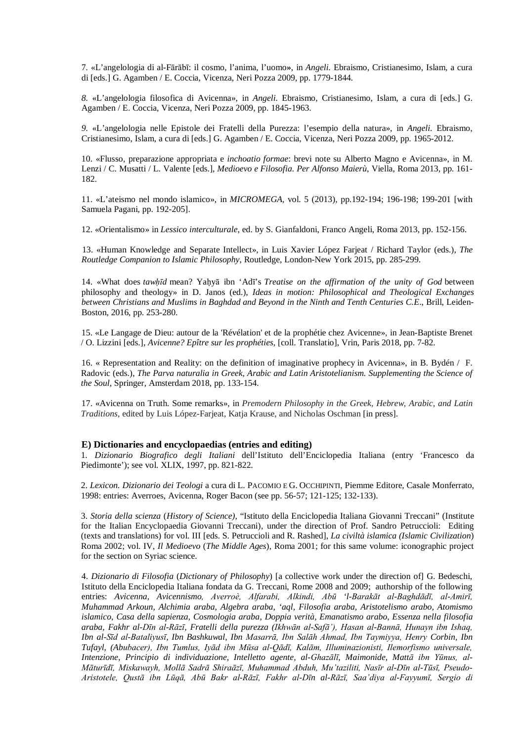7*.* «L'angelologia di al-Fārābī: il cosmo, l'anima, l'uomo**»**, in *Angeli.* Ebraismo, Cristianesimo, Islam, a cura di [eds.] G. Agamben / E. Coccia, Vicenza, Neri Pozza 2009, pp. 1779-1844.

*8.* «L'angelologia filosofica di Avicenna», in *Angeli.* Ebraismo, Cristianesimo, Islam, a cura di [eds.] G. Agamben / E. Coccia, Vicenza, Neri Pozza 2009, pp. 1845-1963.

*9.* «L'angelologia nelle Epistole dei Fratelli della Purezza: l'esempio della natura»*,* in *Angeli.* Ebraismo, Cristianesimo, Islam, a cura di [eds.] G. Agamben / E. Coccia, Vicenza, Neri Pozza 2009, pp. 1965-2012.

10. «Flusso, preparazione appropriata e *inchoatio formae*: brevi note su Alberto Magno e Avicenna», in M. Lenzi / C. Musatti / L. Valente [eds.], *Medioevo e Filosofia. Per Alfonso Maierù*, Viella, Roma 2013, pp. 161- 182.

11. «L'ateismo nel mondo islamico», in *MICROMEGA,* vol. 5 (2013)*,* pp.192-194; 196-198; 199-201 [with Samuela Pagani, pp. 192-205].

12. «Orientalismo» in *Lessico interculturale*, ed. by S. Gianfaldoni, Franco Angeli, Roma 2013, pp. 152-156.

13. «Human Knowledge and Separate Intellect», in Luis Xavier López Farjeat / Richard Taylor (eds.), *The Routledge Companion to Islamic Philosophy*, Routledge, London-New York 2015, pp. 285-299.

14. «What does *tawḥīd* mean? Yaḥyā ibn 'Adī's *Treatise on the affirmation of the unity of God* between philosophy and theology» in D. Janos (ed.), *Ideas in motion: Philosophical and Theological Exchanges between Christians and Muslims in Baghdad and Beyond in the Ninth and Tenth Centuries C.E*., Brill, Leiden-Boston, 2016, pp. 253-280.

15. «Le Langage de Dieu: autour de la 'Révélation' et de la prophétie chez Avicenne», in Jean-Baptiste Brenet / O. Lizzini [eds.], *Avicenne? Epître sur les prophéties,* [coll. Translatio], Vrin, Paris 2018, pp. 7-82.

16. « Representation and Reality: on the definition of imaginative prophecy in Avicenna», in B. Bydén / F. Radovic (eds.), *The Parva naturalia in Greek, Arabic and Latin Aristotelianism. Supplementing the Science of the Soul*, Springer, Amsterdam 2018, pp. 133-154.

17. «Avicenna on Truth. Some remarks», in *Premodern Philosophy in the Greek, Hebrew, Arabic, and Latin Traditions*, edited by Luis López-Farjeat, Katja Krause, and Nicholas Oschman [in press].

#### **E) Dictionaries and encyclopaedias (entries and editing)**

1*. Dizionario Biografico degli Italiani* dell'Istituto dell'Enciclopedia Italiana (entry 'Francesco da Piedimonte'); see vol. XLIX, 1997, pp. 821-822.

2. *Lexicon. Dizionario dei Teologi* a cura di L. PACOMIO E G. OCCHIPINTI, Piemme Editore, Casale Monferrato, 1998: entries: Averroes, Avicenna, Roger Bacon (see pp. 56-57; 121-125; 132-133).

3. *Storia della scienza* (*History of Science)*, "Istituto della Enciclopedia Italiana Giovanni Treccani" (Institute for the Italian Encyclopaedia Giovanni Treccani), under the direction of Prof. Sandro Petruccioli: Editing (texts and translations) for vol. III [eds. S. Petruccioli and R. Rashed], *La civiltà islamica (Islamic Civilization*) Roma 2002; vol. IV, *Il Medioevo* (*The Middle Ages*), Roma 2001; for this same volume: iconographic project for the section on Syriac science.

4. *Dizionario di Filosofia* (*Dictionary of Philosophy*) [a collective work under the direction of] G. Bedeschi, Istituto della Enciclopedia Italiana fondata da G. Treccani, Rome 2008 and 2009; authorship of the following entries: *Avicenna, Avicennismo, Averroè, Alfarabi, Alkindi, Abū 'l-Barakāt al-Baghdādī, al-Amirī, Muhammad Arkoun, Alchimia araba, Algebra araba, 'aql, Filosofia araba, Aristotelismo arabo, Atomismo islamico, Casa della sapienza, Cosmologia araba, Doppia verità, Emanatismo arabo, Essenza nella filosofia araba, Fakhr al-Dīn al-Rāzī, Fratelli della purezza (Ikhwān al-Safā'), Hasan al-Bannā, Hunayn ibn Ishaq, Ibn al-Sīd al-Bataliyusī, Ibn Bashkuwal, Ibn Masarrā, Ibn Salāh Ahmad, Ibn Taymiyya, Henry Corbin, Ibn Tufayl, (Abubacer), Ibn Tumlus, Iyād ibn Mūsa al-Qādī, Kalām, Illuminazionisti, Ilemorfismo universale, Intenzione, Principio di individuazione, Intelletto agente, al-Ghazālī, Maimonide, Mattā ibn Yūnus, al-Māturīdī, Miskawayh, Mollā Sadrā Shiraāzī, Muhammad Abduh, Mu'taziliti, Nasīr al-Dīn al-Tūsī, Pseudo-Aristotele, Qustā ibn Lūqā, Abū Bakr al-Rāzī, Fakhr al-Dīn al-Rāzī, Saa'diya al-Fayyumī, Sergio di*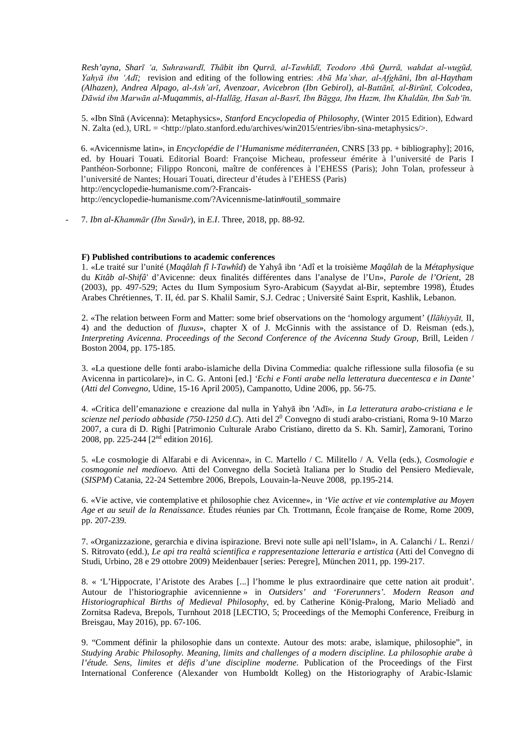*Resh'ayna, Sharī 'a, Suhrawardī, Thābit ibn Qurrā, al-Tawhīdī, Teodoro Abū Qurrā, wahdat al-wugūd, Yahyā ibn 'Adī;* revision and editing of the following entries: *Abū Ma'shar, al-Afghāni, Ibn al-Haytham (Alhazen), Andrea Alpago, al-Ash'arī, Avenzoar, Avicebron (Ibn Gebirol), al-Battānī, al-Birūnī, Colcodea, Dāwid ibn Marwān al-Muqammis, al-Hallāg, Hasan al-Basrī, Ibn Bāgga, Ibn Hazm, Ibn Khaldūn, Ibn Sab'īn.* 

5. «Ibn Sīnā (Avicenna): Metaphysics», *Stanford Encyclopedia of Philosophy*, (Winter 2015 Edition), Edward N. Zalta (ed.), URL = <http://plato.stanford.edu/archives/win2015/entries/ibn-sina-metaphysics/>.

6. «Avicennisme latin», in *Encyclopédie de l'Humanisme méditerranéen,* CNRS [33 pp. + bibliography]; 2016, ed. by Houari Touati. Editorial Board: Françoise Micheau, professeur émérite à l'université de Paris I Panthéon-Sorbonne; Filippo Ronconi, maître de conférences à l'EHESS (Paris); John Tolan, professeur à l'université de Nantes; Houari Touati, directeur d'études à l'EHESS (Paris) <http://encyclopedie-humanisme.com/?-Francais->

[http://encyclopedie-humanisme.com/?Avicennisme-latin#outil\\_sommaire](http://encyclopedie-humanisme.com/?Avicennisme-latin#outil_sommaire)

- 7. *Ibn al-Khammār (Ibn Suwār*), in *E.I*. Three, 2018, pp. 88-92.

# **F) Published contributions to academic conferences**

1. «Le traité sur l'unité (*Maqâlah fî l-Tawhîd*) de Yahyâ ibn 'Adî et la troisième *Maqâlah* de la *Métaphysique*  du *Kitâb al-Shifâ'* d'Avicenne: deux finalités différentes dans l'analyse de l'Un», *Parole de l'Orient*, 28 (2003), pp. 497-529; Actes du IIum Symposium Syro-Arabicum (Sayydat al-Bir, septembre 1998), Études Arabes Chrétiennes, T. II, éd. par S. Khalil Samir, S.J. Cedrac ; Université Saint Esprit, Kashlik, Lebanon.

2. «The relation between Form and Matter: some brief observations on the 'homology argument' (*Ilāhiyyāt,* II, 4) and the deduction of *fluxus*», chapter X of J. McGinnis with the assistance of D. Reisman (eds.), *Interpreting Avicenna*. *Proceedings of the Second Conference of the Avicenna Study Group*, Brill, Leiden / Boston 2004, pp. 175-185.

3. «La questione delle fonti arabo-islamiche della Divina Commedia: qualche riflessione sulla filosofia (e su Avicenna in particolare)», in C. G. Antoni [ed.] *'Echi e Fonti arabe nella letteratura duecentesca e in Dante'* (*Atti del Convegno*, Udine, 15-16 April 2005), Campanotto, Udine 2006, pp. 56-75.

4. «Critica dell'emanazione e creazione dal nulla in Yahyā ibn 'Adī», in *La letteratura arabo-cristiana e le scienze nel periodo abbaside (750-1250 d.C*). Atti del 20 Convegno di studi arabo-cristiani, Roma 9-10 Marzo 2007, a cura di D. Righi [Patrimonio Culturale Arabo Cristiano, diretto da S. Kh. Samir], Zamorani, Torino 2008, pp. 225-244 [2nd edition 2016].

5. «Le cosmologie di Alfarabi e di Avicenna», in C. Martello / C. Militello / A. Vella (eds.), *Cosmologie e cosmogonie nel medioevo.* Atti del Convegno della Società Italiana per lo Studio del Pensiero Medievale, (*SISPM*) Catania, 22-24 Settembre 2006, Brepols, Louvain-la-Neuve 2008, pp.195-214.

6. «Vie active, vie contemplative et philosophie chez Avicenne», in *'Vie active et vie contemplative au Moyen Age et au seuil de la Renaissance*. Études réunies par Ch. Trottmann, École française de Rome, Rome 2009, pp. 207-239.

7. «Organizzazione, gerarchia e divina ispirazione. Brevi note sulle api nell'Islam», in A. Calanchi / L. Renzi / S. Ritrovato (edd.), *Le api tra realtà scientifica e rappresentazione letteraria e artistica* (Atti del Convegno di Studi, Urbino, 28 e 29 ottobre 2009) Meidenbauer [series: Peregre], München 2011, pp. 199-217.

8. « 'L'Hippocrate, l'Aristote des Arabes [...] l'homme le plus extraordinaire que cette nation ait produit'. Autour de l'historiographie avicennienne » in *Outsiders' and 'Forerunners'. Modern Reason and Historiographical Births of Medieval Philosophy*, ed. by Catherine König-Pralong, Mario Meliadò and Zornitsa Radeva, Brepols, Turnhout 2018 [LECTIO, 5; Proceedings of the Memophi Conference, Freiburg in Breisgau, May 2016), pp. 67-106.

9. "Comment définir la philosophie dans un contexte. Autour des mots: arabe, islamique, philosophie", in *Studying Arabic Philosophy. Meaning, limits and challenges of a modern discipline. La philosophie arabe à l'étude. Sens, limites et défis d'une discipline moderne*. Publication of the Proceedings of the First International Conference (Alexander von Humboldt Kolleg) on the Historiography of Arabic-Islamic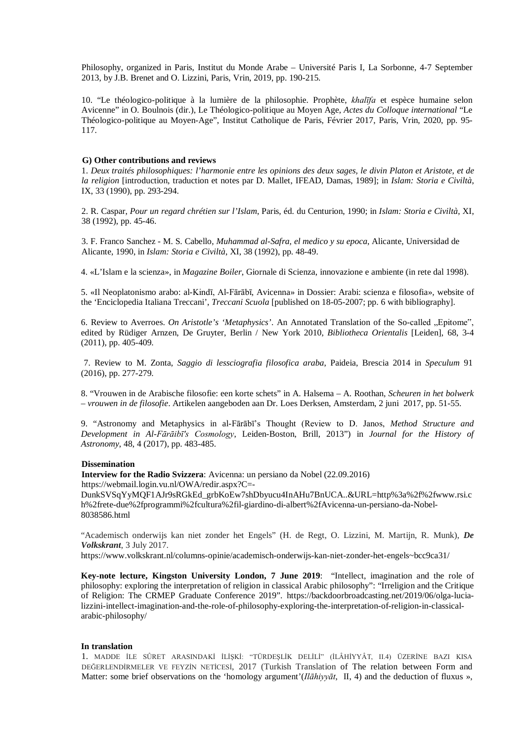Philosophy, organized in Paris, Institut du Monde Arabe – Université Paris I, La Sorbonne, 4-7 September 2013, by J.B. Brenet and O. Lizzini, Paris, Vrin, 2019, pp. 190-215.

10. "Le théologico-politique à la lumière de la philosophie. Prophète, *khalīfa* et espèce humaine selon Avicenne" in O. Boulnois (dir.), Le Théologico-politique au Moyen Age, *Actes du Colloque international* "Le Théologico-politique au Moyen-Age", Institut Catholique de Paris, Février 2017, Paris, Vrin, 2020, pp. 95- 117.

## **G) Other contributions and reviews**

1. *Deux traités philosophiques: l'harmonie entre les opinions des deux sages, le divin Platon et Aristote, et de la religion* [introduction, traduction et notes par D. Mallet, IFEAD, Damas, 1989]; in *Islam: Storia e Civiltà*, IX, 33 (1990), pp. 293-294.

2. R. Caspar, *Pour un regard chrétien sur l'Islam*, Paris, éd. du Centurion, 1990; in *Islam: Storia e Civiltà*, XI, 38 (1992), pp. 45-46.

3. F. Franco Sanchez - M. S. Cabello, *Muhammad al-Safra, el medico y su epoca*, Alicante, Universidad de Alicante, 1990, in *Islam: Storia e Civiltà*, XI, 38 (1992), pp. 48-49.

4. «L'Islam e la scienza», in *Magazine Boiler*, Giornale di Scienza, innovazione e ambiente (in rete dal 1998).

5. «Il Neoplatonismo arabo: al-Kindī, Al-Fārābī, Avicenna» in Dossier: Arabi: scienza e filosofia»*,* website of the 'Enciclopedia Italiana Treccani', *Treccani Scuola* [published on 18-05-2007; pp. 6 with bibliography].

6. Review to Averroes. *On Aristotle's 'Metaphysics'*. An Annotated Translation of the So-called "Epitome", edited by Rüdiger Arnzen, De Gruyter, Berlin / New York 2010, *Bibliotheca Orientalis* [Leiden], 68, 3-4 (2011), pp. 405-409.

7. Review to M. Zonta, *Saggio di lessciografia filosofica araba*, Paideia, Brescia 2014 in *Speculum* 91 (2016), pp. 277-279.

8. "Vrouwen in de Arabische filosofie: een korte schets" in A. Halsema – A. Roothan, *Scheuren in het bolwerk – vrouwen in de filosofie*. Artikelen aangeboden aan Dr. Loes Derksen, Amsterdam, 2 juni 2017, pp. 51-55.

9. "Astronomy and Metaphysics in al-Fārābī's Thought (Review to D. Janos, *Method Structure and Development in Al-Fārāibī's Cosmology*, Leiden-Boston, Brill, 2013") in *Journal for the History of Astronomy*, 48, 4 (2017), pp. 483-485.

## **Dissemination**

**Interview for the Radio Svizzera**: Avicenna: un persiano da Nobel (22.09.2016) [https://webmail.login.vu.nl/OWA/redir.aspx?C=-](https://webmail.login.vu.nl/OWA/redir.aspx?C=-DunkSVSqYyMQF1AJr9sRGkEd_grbKoEw7shDbyucu4InAHu7BnUCA..&URL=http%3a%2f%2fwww.rsi.ch%2frete-due%2fprogrammi%2fcultura%2fil-giardino-di-albert%2fAvicenna-un-persiano-da-Nobel-8038586.html)

[DunkSVSqYyMQF1AJr9sRGkEd\\_grbKoEw7shDbyucu4InAHu7BnUCA..&URL=http%3a%2f%2fwww.rsi.c](https://webmail.login.vu.nl/OWA/redir.aspx?C=-DunkSVSqYyMQF1AJr9sRGkEd_grbKoEw7shDbyucu4InAHu7BnUCA..&URL=http%3a%2f%2fwww.rsi.ch%2frete-due%2fprogrammi%2fcultura%2fil-giardino-di-albert%2fAvicenna-un-persiano-da-Nobel-8038586.html) [h%2frete-due%2fprogrammi%2fcultura%2fil-giardino-di-albert%2fAvicenna-un-persiano-da-Nobel-](https://webmail.login.vu.nl/OWA/redir.aspx?C=-DunkSVSqYyMQF1AJr9sRGkEd_grbKoEw7shDbyucu4InAHu7BnUCA..&URL=http%3a%2f%2fwww.rsi.ch%2frete-due%2fprogrammi%2fcultura%2fil-giardino-di-albert%2fAvicenna-un-persiano-da-Nobel-8038586.html)[8038586.html](https://webmail.login.vu.nl/OWA/redir.aspx?C=-DunkSVSqYyMQF1AJr9sRGkEd_grbKoEw7shDbyucu4InAHu7BnUCA..&URL=http%3a%2f%2fwww.rsi.ch%2frete-due%2fprogrammi%2fcultura%2fil-giardino-di-albert%2fAvicenna-un-persiano-da-Nobel-8038586.html)

"Academisch onderwijs kan niet zonder het Engels" (H. de Regt, O. Lizzini, M. Martijn, R. Munk), *De Volkskrant*, 3 July 2017.

[https://www.volkskrant.nl/columns-opinie/academisch-onderwijs-kan-niet-zonder-het-engels~bcc9ca31/](https://www.volkskrant.nl/columns-opinie/academisch-onderwijs-kan-niet-zonder-het-engels%7Ebcc9ca31/)

**Key-note lecture, Kingston University London, 7 June 2019**: "Intellect, imagination and the role of philosophy: exploring the interpretation of religion in classical Arabic philosophy": "Irreligion and the Critique of Religion: The CRMEP Graduate Conference 2019". [https://backdoorbroadcasting.net/2019/06/olga-lucia](https://backdoorbroadcasting.net/2019/06/olga-lucia-lizzini-intellect-imagination-and-the-role-of-philosophy-exploring-the-interpretation-of-religion-in-classical-arabic-philosophy/)[lizzini-intellect-imagination-and-the-role-of-philosophy-exploring-the-interpretation-of-religion-in-classical](https://backdoorbroadcasting.net/2019/06/olga-lucia-lizzini-intellect-imagination-and-the-role-of-philosophy-exploring-the-interpretation-of-religion-in-classical-arabic-philosophy/)[arabic-philosophy/](https://backdoorbroadcasting.net/2019/06/olga-lucia-lizzini-intellect-imagination-and-the-role-of-philosophy-exploring-the-interpretation-of-religion-in-classical-arabic-philosophy/)

#### **In translation**

1. MADDE İLE SÛRET ARASINDAKİ İLİŞKİ: "TÜRDEŞLİK DELİLİ" (İLÂHİYYÂT, II.4) ÜZERİNE BAZI KISA DEĞERLENDİRMELER VE FEYZİN NETİCESİ, 2017 (Turkish Translation of The relation between Form and Matter: some brief observations on the 'homology argument'(*Ilāhiyyāt*, II, 4) and the deduction of fluxus »,